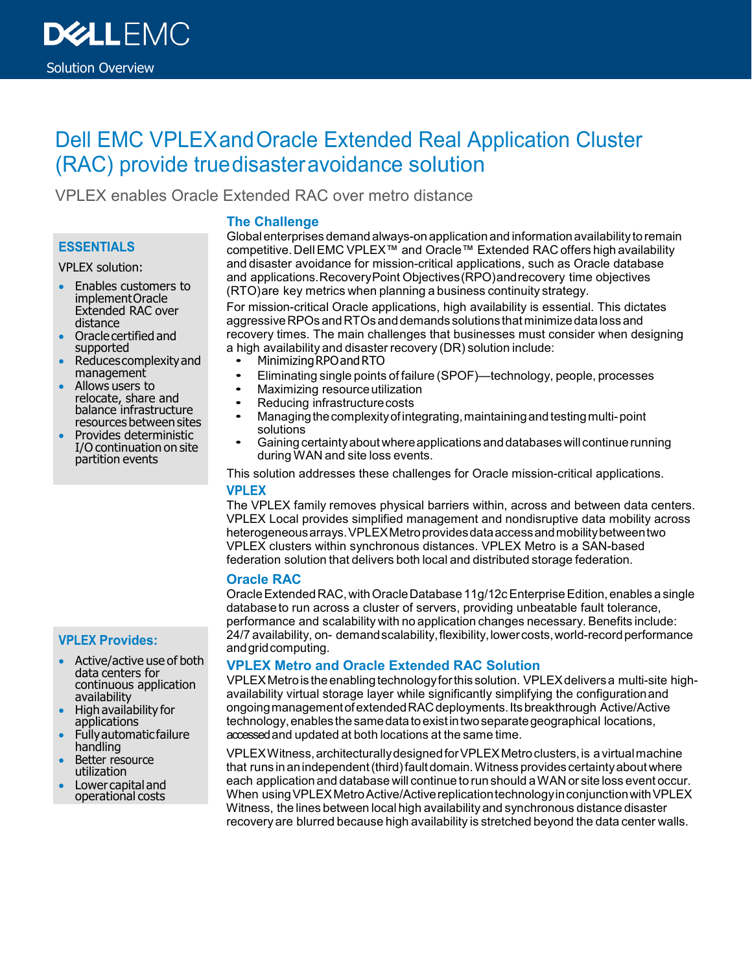

# Dell EMC VPLEXandOracle Extended Real Application Cluster (RAC) provide truedisasteravoidance solution

VPLEX enables Oracle Extended RAC over metro distance

# **ESSENTIALS**

VPLEX solution:

- Enables customers to implementOracle Extended RAC over distance
- Oracle certified and supported
- Reduces complexity and management
- Allows users to relocate, share and balance infrastructure resources between sites
- Provides deterministic I/O continuation on site partition events

## **The Challenge**

Globalenterprises demand always-on applicationand informationavailability toremain competitive.DellEMC VPLEX™ and Oracle™ Extended RAC offers high availability and disaster avoidance for mission-critical applications, such as Oracle database and applications.RecoveryPoint Objectives(RPO)andrecovery time objectives (RTO)are key metrics when planning a business continuity strategy.

For mission-critical Oracle applications, high availability is essential. This dictates aggressiveRPOs andRTOs anddemands solutions that minimizedatalossand recovery times. The main challenges that businesses must consider when designing a high availability and disaster recovery (DR) solution include:

- Minimizing RPO and RTO
- Eliminating single points of failure (SPOF)—technology, people, processes
- Maximizing resource utilization<br>• Reducing infrastructure costs
- Reducing infrastructure costs<br>• Managing the complexity of inte
- Managing the complexity of integrating, maintaining and testing multi-point solutions
- Gaining certainty about where applications and databases will continue running during WAN and site loss events.

This solution addresses these challenges for Oracle mission-critical applications. **VPLEX**

The VPLEX family removes physical barriers within, across and between data centers. VPLEX Local provides simplified management and nondisruptive data mobility across heterogeneousarrays.VPLEXMetroprovidesdataaccessandmobilitybetweentwo VPLEX clusters within synchronous distances. VPLEX Metro is a SAN-based federation solution that delivers both local and distributed storage federation.

### **Oracle RAC**

Oracle Extended RAC, with Oracle Database 11g/12c Enterprise Edition, enables a single databaseto run across a cluster of servers, providing unbeatable fault tolerance, performance and scalability with no application changes necessary. Benefits include: 24/7 availability, on- demandscalability,flexibility,lowercosts,world-recordperformance andgridcomputing.

### **VPLEX Metro and Oracle Extended RAC Solution**

VPLEXMetrois theenablingtechnologyforthis solution. VPLEXdeliversa multi-site highavailability virtual storage layer while significantly simplifying the configurationand ongoingmanagementofextendedRACdeployments.Itsbreakthrough Active/Active technology, enables the same data to exist in two separate geographical locations, accessedand updated at both locations at the same time.

VPLEXWitness, architecturally designed for VPLEX Metro clusters, is a virtual machine that runs inanindependent(third)faultdomain.Witness provides certaintyabout where each application and database will continue to run should aWAN or site loss event occur. When using VPLEX Metro Active/Active replication technology in conjunction with VPLEX Witness, the lines between local high availabilityand synchronous distance disaster recovery are blurred because high availability is stretched beyond the data center walls.

# **VPLEX Provides:**

- Active/active use of both data centers for continuous application availability
- High availability for applications
- Fullyautomaticfailure handling
- Better resource utilization
- Lower capital and operational costs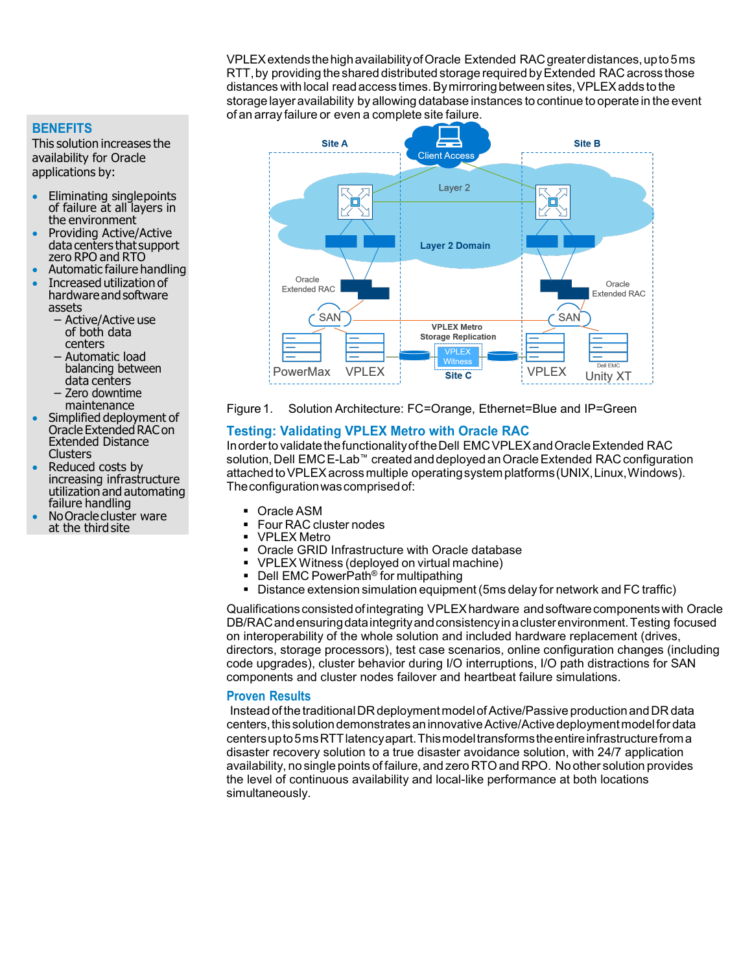VPLEXextendsthehighavailabilityofOracle Extended RACgreaterdistances,upto5ms RTT, by providing the shared distributed storage required by Extended RAC across those distances with local read access times. By mirroring between sites, VPLEX adds to the storage layeravailability by allowing database instances to continue to operate in the event of an array failure or even a complete site failure.



Figure 1. Solution Architecture: FC=Orange, Ethernet=Blue and IP=Green

#### **Testing: Validating VPLEX Metro with Oracle RAC**

Inorderto validatethefunctionalityoftheDell EMCVPLEXandOracleExtended RAC solution, Dell EMCE-Lab™ created and deployed an Oracle Extended RAC configuration attached to VPLEX across multiple operating system platforms (UNIX, Linux, Windows). Theconfigurationwascomprisedof:

- Oracle ASM
- Four RAC cluster nodes
- VPLEX Metro
- Oracle GRID Infrastructure with Oracle database
- VPLEX Witness (deployed on virtual machine)
- Dell EMC PowerPath<sup>®</sup> for multipathing
- Distance extension simulation equipment (5ms delay for network and FC traffic)

Qualificationsconsistedofintegrating VPLEXhardware andsoftwarecomponentswith Oracle DB/RACandensuringdataintegrityandconsistencyinaclusterenvironment.Testing focused on interoperability of the whole solution and included hardware replacement (drives, directors, storage processors), test case scenarios, online configuration changes (including code upgrades), cluster behavior during I/O interruptions, I/O path distractions for SAN components and cluster nodes failover and heartbeat failure simulations.

#### **Proven Results**

Instead of the traditional DR deployment model of Active/Passive production and DR data centers, this solution demonstrates an innovative Active/Active deployment model for data centersupto5msRTTlatencyapart.Thismodeltransformstheentireinfrastructurefroma disaster recovery solution to a true disaster avoidance solution, with 24/7 application availability, no single points of failure, and zero RTOand RPO. No other solution provides the level of continuous availability and local-like performance at both locations simultaneously.

#### **BENEFITS**

This solution increases the availability for Oracle applications by:

- Eliminating singlepoints of failure at all layers in the environment
- Providing Active/Active data centers that support<br>zero RPO and RTO
- Automatic failure handling
- Increased utilization of hardware and software assets
	- Active/Active use of both data centers
	- Automatic load balancing between data centers
	- Zero downtime
- Simplified deployment of Oracle Extended RAC on Extended Distance **Clusters**
- Reduced costs by increasing infrastructure utilization and automating failure handling
- No Oracle cluster ware at the thirdsite